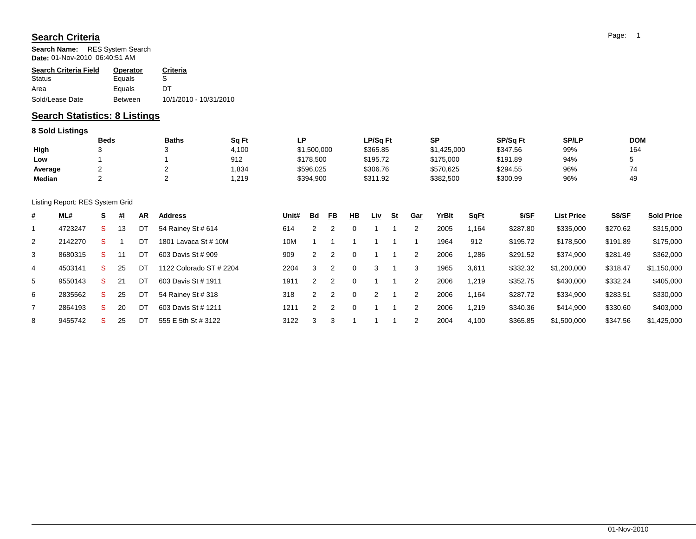## **Search Criteria**

**Search Name:** RES System Search **Date:** 01-Nov-2010 06:40:51 AM

| <b>Search Criteria Field</b> | <b>Operator</b> | Criteria               |
|------------------------------|-----------------|------------------------|
| Status                       | Equals          | S                      |
| Area                         | Equals          | DТ                     |
| Sold/Lease Date              | <b>Between</b>  | 10/1/2010 - 10/31/2010 |

## **Search Statistics: 8 Listings**

## **8 Sold Listings**

|         | <b>Beds</b> | <b>Baths</b> | Sq Ft | P           | LP/Sq Ft | SP          | SP/Sq Ft | <b>SP/LP</b> | <b>DOM</b> |
|---------|-------------|--------------|-------|-------------|----------|-------------|----------|--------------|------------|
| High    |             |              | 4,100 | \$1,500,000 | \$365.85 | \$1,425,000 | \$347.56 | 99%          | 164        |
| Low     |             |              | 912   | \$178,500   | \$195.72 | \$175,000   | \$191.89 | 94%          |            |
| Average |             |              | .834  | \$596,025   | \$306.76 | \$570,625   | \$294.55 | 96%          |            |
| Median  |             |              | .219  | \$394,900   | \$311.92 | \$382,500   | \$300.99 | 96%          | 49         |

Listing Report: RES System Grid

| # | <b>ML#</b> | <u>s</u> | 型  | $\underline{\mathsf{AR}}$ | Address                 | Unit# | <u>Bd</u> | <u>FB</u> | 쁘        | <u>Liv</u> | <u>St</u> | <u>Gar</u> | YrBlt | <b>SqFt</b> | <u>\$/SF</u> | <b>List Price</b> | <b>S\$/SF</b> | <b>Sold Price</b> |
|---|------------|----------|----|---------------------------|-------------------------|-------|-----------|-----------|----------|------------|-----------|------------|-------|-------------|--------------|-------------------|---------------|-------------------|
|   | 4723247    | s        | 13 | DT                        | 54 Rainey St # 614      | 614   |           |           | $\Omega$ |            |           |            | 2005  | 164. ا      | \$287.80     | \$335,000         | \$270.62      | \$315,000         |
| 2 | 2142270    |          |    | DT                        | 1801 Lavaca St # 10M    | 10M   |           |           |          |            |           |            | 1964  | 912         | \$195.72     | \$178,500         | \$191.89      | \$175,000         |
| 3 | 8680315    |          |    | DT                        | 603 Davis St # 909      | 909   |           |           | $\Omega$ |            |           |            | 2006  | 1,286       | \$291.52     | \$374,900         | \$281.49      | \$362,000         |
| 4 | 4503141    | S        | 25 | DT                        | 1122 Colorado ST # 2204 | 2204  | 3         |           | $\Omega$ | 3          |           | 3          | 1965  | 3,611       | \$332.32     | \$1,200,000       | \$318.47      | \$1,150,000       |
| 5 | 9550143    | S        | 21 | DT                        | 603 Davis St # 1911     | 1911  |           |           | $\Omega$ |            |           |            | 2006  | 1,219       | \$352.75     | \$430,000         | \$332.24      | \$405,000         |
| 6 | 2835562    | S        | 25 | DT                        | 54 Rainey St # 318      | 318   |           |           | $\Omega$ |            |           |            | 2006  | 1,164       | \$287.72     | \$334,900         | \$283.51      | \$330,000         |
|   | 2864193    | S        | 20 | DT                        | 603 Davis St # 1211     | 1211  |           |           | $\Omega$ |            |           |            | 2006  | 1,219       | \$340.36     | \$414,900         | \$330.60      | \$403,000         |
| 8 | 9455742    |          | 25 | DT                        | 555 E 5th St # 3122     | 3122  | 3         |           |          |            |           |            | 2004  | 4,100       | \$365.85     | \$1,500,000       | \$347.56      | \$1,425,000       |